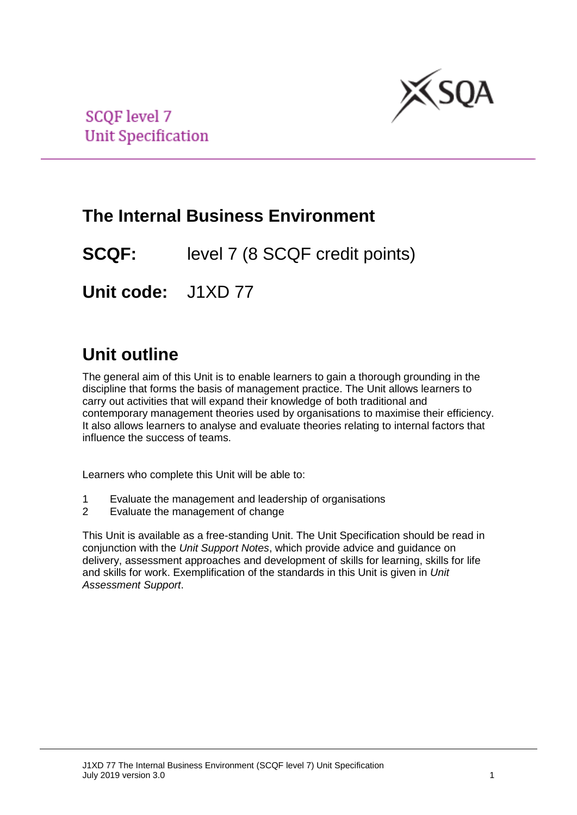

**SCQF** level 7 **Unit Specification** 

## **The Internal Business Environment**

**SCQF:** level 7 (8 SCQF credit points)

**Unit code:** J1XD 77

# **Unit outline**

The general aim of this Unit is to enable learners to gain a thorough grounding in the discipline that forms the basis of management practice. The Unit allows learners to carry out activities that will expand their knowledge of both traditional and contemporary management theories used by organisations to maximise their efficiency. It also allows learners to analyse and evaluate theories relating to internal factors that influence the success of teams.

Learners who complete this Unit will be able to:

- 1 Evaluate the management and leadership of organisations
- 2 Evaluate the management of change

This Unit is available as a free-standing Unit. The Unit Specification should be read in conjunction with the *Unit Support Notes*, which provide advice and guidance on delivery, assessment approaches and development of skills for learning, skills for life and skills for work. Exemplification of the standards in this Unit is given in *Unit Assessment Support*.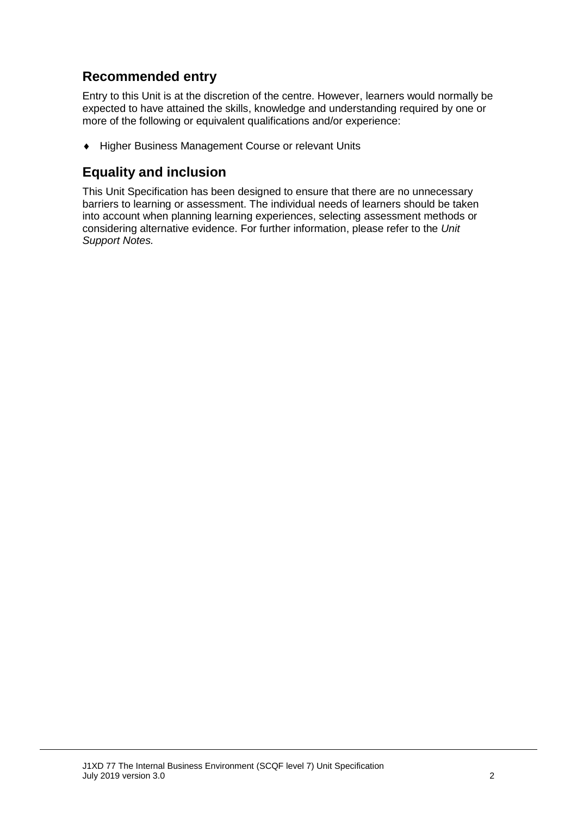## **Recommended entry**

Entry to this Unit is at the discretion of the centre. However, learners would normally be expected to have attained the skills, knowledge and understanding required by one or more of the following or equivalent qualifications and/or experience:

◆ Higher Business Management Course or relevant Units

### **Equality and inclusion**

This Unit Specification has been designed to ensure that there are no unnecessary barriers to learning or assessment. The individual needs of learners should be taken into account when planning learning experiences, selecting assessment methods or considering alternative evidence. For further information, please refer to the *Unit Support Notes.*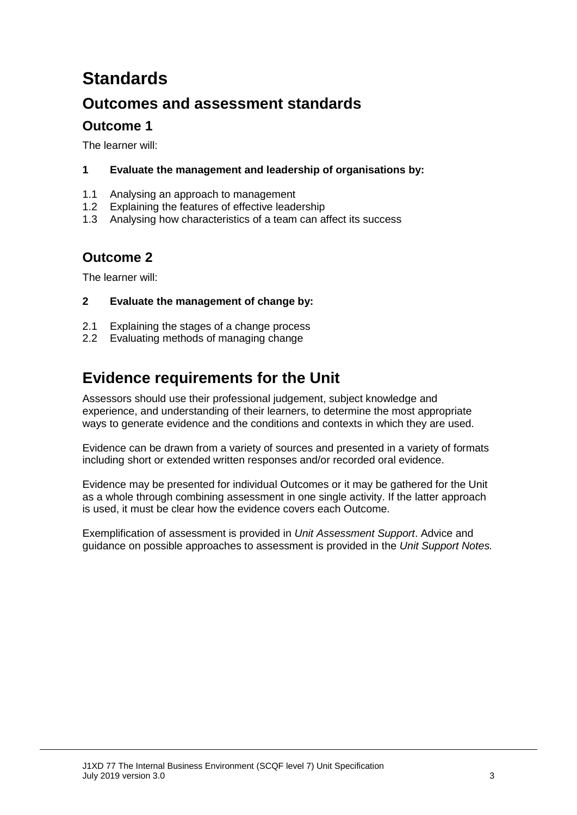# **Standards**

## **Outcomes and assessment standards**

### **Outcome 1**

The learner will:

- **1 Evaluate the management and leadership of organisations by:**
- 1.1 Analysing an approach to management
- 1.2 Explaining the features of effective leadership
- 1.3 Analysing how characteristics of a team can affect its success

## **Outcome 2**

The learner will:

### **2 Evaluate the management of change by:**

- 2.1 Explaining the stages of a change process
- 2.2 Evaluating methods of managing change

## **Evidence requirements for the Unit**

Assessors should use their professional judgement, subject knowledge and experience, and understanding of their learners, to determine the most appropriate ways to generate evidence and the conditions and contexts in which they are used.

Evidence can be drawn from a variety of sources and presented in a variety of formats including short or extended written responses and/or recorded oral evidence.

Evidence may be presented for individual Outcomes or it may be gathered for the Unit as a whole through combining assessment in one single activity. If the latter approach is used, it must be clear how the evidence covers each Outcome.

Exemplification of assessment is provided in *Unit Assessment Support*. Advice and guidance on possible approaches to assessment is provided in the *Unit Support Notes.*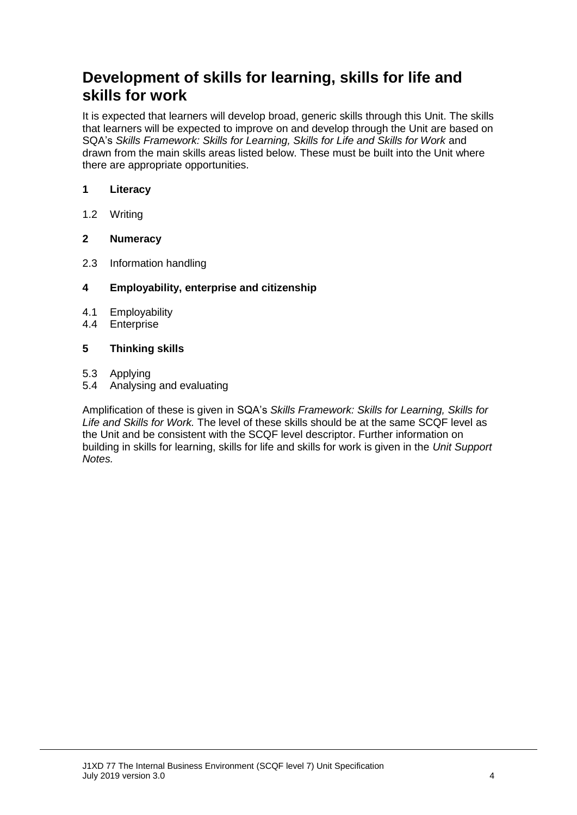## **Development of skills for learning, skills for life and skills for work**

It is expected that learners will develop broad, generic skills through this Unit. The skills that learners will be expected to improve on and develop through the Unit are based on SQA's *Skills Framework: Skills for Learning, Skills for Life and Skills for Work* and drawn from the main skills areas listed below. These must be built into the Unit where there are appropriate opportunities.

#### **1 Literacy**

1.2 Writing

### **2 Numeracy**

2.3 Information handling

#### **4 Employability, enterprise and citizenship**

- 4.1 Employability
- 4.4 Enterprise

#### **5 Thinking skills**

- 5.3 Applying
- 5.4 Analysing and evaluating

Amplification of these is given in SQA's *Skills Framework: Skills for Learning, Skills for Life and Skills for Work.* The level of these skills should be at the same SCQF level as the Unit and be consistent with the SCQF level descriptor. Further information on building in skills for learning, skills for life and skills for work is given in the *Unit Support Notes.*